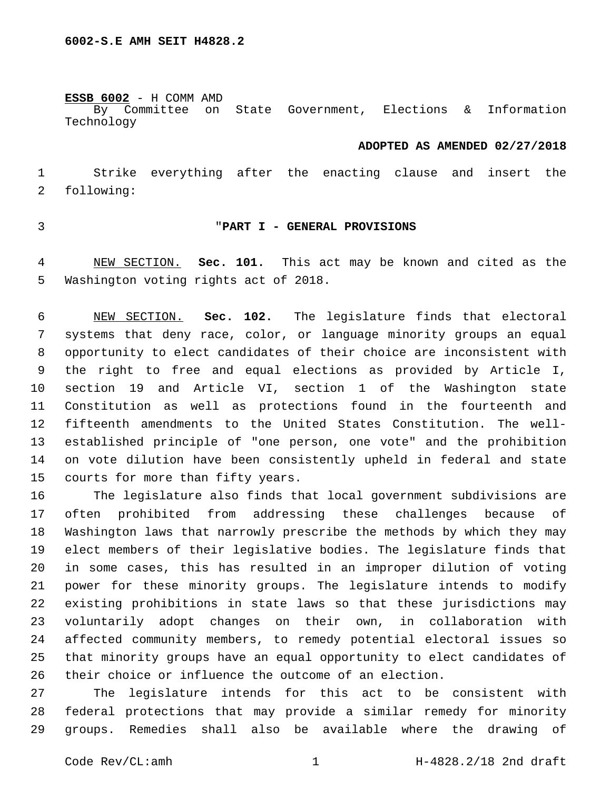**ESSB 6002** - H COMM AMD

By Committee on State Government, Elections & Information Technology

#### **ADOPTED AS AMENDED 02/27/2018**

 Strike everything after the enacting clause and insert the 2 following:

#### "**PART I - GENERAL PROVISIONS**

 NEW SECTION. **Sec. 101.** This act may be known and cited as the Washington voting rights act of 2018.

 NEW SECTION. **Sec. 102.** The legislature finds that electoral systems that deny race, color, or language minority groups an equal opportunity to elect candidates of their choice are inconsistent with the right to free and equal elections as provided by Article I, section 19 and Article VI, section 1 of the Washington state Constitution as well as protections found in the fourteenth and fifteenth amendments to the United States Constitution. The well- established principle of "one person, one vote" and the prohibition on vote dilution have been consistently upheld in federal and state courts for more than fifty years.

 The legislature also finds that local government subdivisions are often prohibited from addressing these challenges because of Washington laws that narrowly prescribe the methods by which they may elect members of their legislative bodies. The legislature finds that in some cases, this has resulted in an improper dilution of voting power for these minority groups. The legislature intends to modify existing prohibitions in state laws so that these jurisdictions may voluntarily adopt changes on their own, in collaboration with affected community members, to remedy potential electoral issues so that minority groups have an equal opportunity to elect candidates of their choice or influence the outcome of an election.

 The legislature intends for this act to be consistent with federal protections that may provide a similar remedy for minority groups. Remedies shall also be available where the drawing of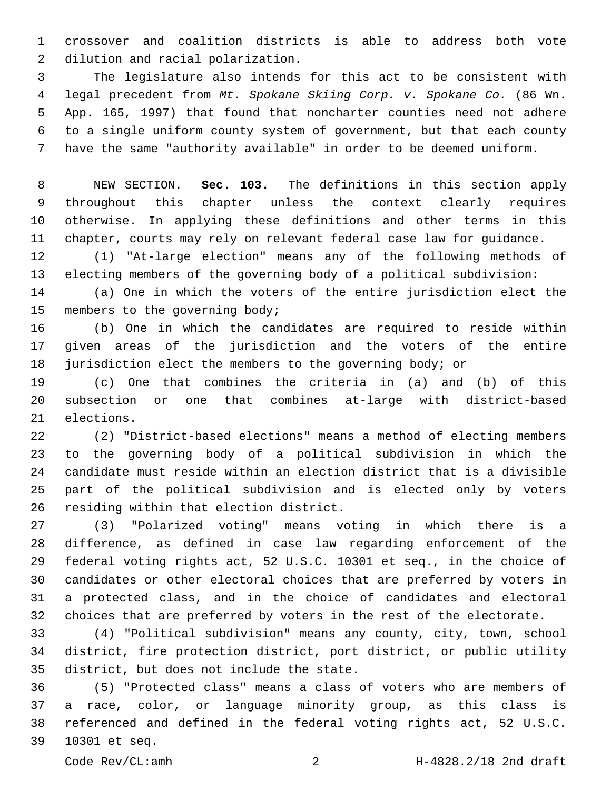crossover and coalition districts is able to address both vote 2 dilution and racial polarization.

 The legislature also intends for this act to be consistent with legal precedent from *Mt. Spokane Skiing Corp. v. Spokane Co.* (86 Wn. App. 165, 1997) that found that noncharter counties need not adhere to a single uniform county system of government, but that each county have the same "authority available" in order to be deemed uniform.

 NEW SECTION. **Sec. 103.** The definitions in this section apply throughout this chapter unless the context clearly requires otherwise. In applying these definitions and other terms in this chapter, courts may rely on relevant federal case law for guidance.

 (1) "At-large election" means any of the following methods of electing members of the governing body of a political subdivision:

 (a) One in which the voters of the entire jurisdiction elect the 15 members to the governing body;

 (b) One in which the candidates are required to reside within given areas of the jurisdiction and the voters of the entire jurisdiction elect the members to the governing body; or

 (c) One that combines the criteria in (a) and (b) of this subsection or one that combines at-large with district-based 21 elections.

 (2) "District-based elections" means a method of electing members to the governing body of a political subdivision in which the candidate must reside within an election district that is a divisible part of the political subdivision and is elected only by voters 26 residing within that election district.

 (3) "Polarized voting" means voting in which there is a difference, as defined in case law regarding enforcement of the federal voting rights act, 52 U.S.C. 10301 et seq., in the choice of candidates or other electoral choices that are preferred by voters in a protected class, and in the choice of candidates and electoral choices that are preferred by voters in the rest of the electorate.

 (4) "Political subdivision" means any county, city, town, school district, fire protection district, port district, or public utility 35 district, but does not include the state.

 (5) "Protected class" means a class of voters who are members of a race, color, or language minority group, as this class is referenced and defined in the federal voting rights act, 52 U.S.C. 10301 et seq.39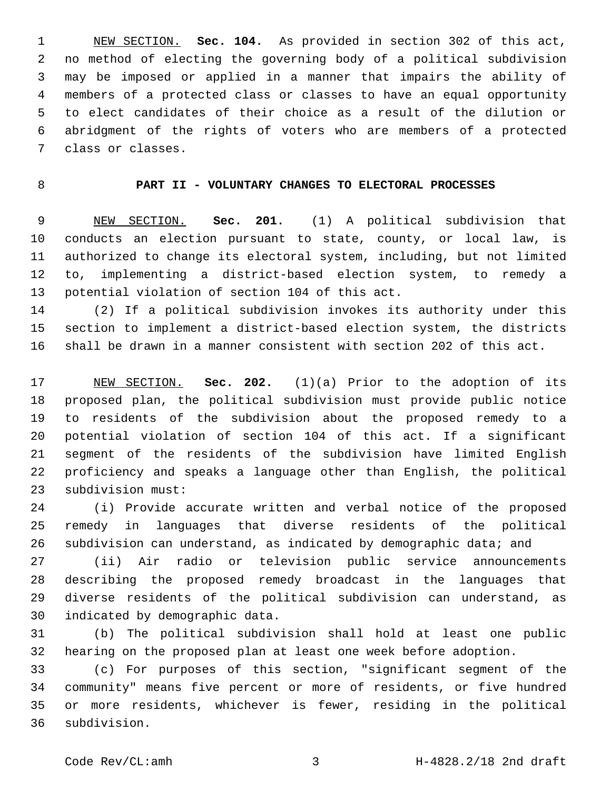NEW SECTION. **Sec. 104.** As provided in section 302 of this act, no method of electing the governing body of a political subdivision may be imposed or applied in a manner that impairs the ability of members of a protected class or classes to have an equal opportunity to elect candidates of their choice as a result of the dilution or abridgment of the rights of voters who are members of a protected class or classes.

### **PART II - VOLUNTARY CHANGES TO ELECTORAL PROCESSES**

 NEW SECTION. **Sec. 201.** (1) A political subdivision that conducts an election pursuant to state, county, or local law, is authorized to change its electoral system, including, but not limited to, implementing a district-based election system, to remedy a potential violation of section 104 of this act.

 (2) If a political subdivision invokes its authority under this section to implement a district-based election system, the districts shall be drawn in a manner consistent with section 202 of this act.

 NEW SECTION. **Sec. 202.** (1)(a) Prior to the adoption of its proposed plan, the political subdivision must provide public notice to residents of the subdivision about the proposed remedy to a potential violation of section 104 of this act. If a significant segment of the residents of the subdivision have limited English proficiency and speaks a language other than English, the political subdivision must:

 (i) Provide accurate written and verbal notice of the proposed remedy in languages that diverse residents of the political 26 subdivision can understand, as indicated by demographic data; and

 (ii) Air radio or television public service announcements describing the proposed remedy broadcast in the languages that diverse residents of the political subdivision can understand, as 30 indicated by demographic data.

 (b) The political subdivision shall hold at least one public hearing on the proposed plan at least one week before adoption.

 (c) For purposes of this section, "significant segment of the community" means five percent or more of residents, or five hundred or more residents, whichever is fewer, residing in the political subdivision.36

Code Rev/CL:amh 3 H-4828.2/18 2nd draft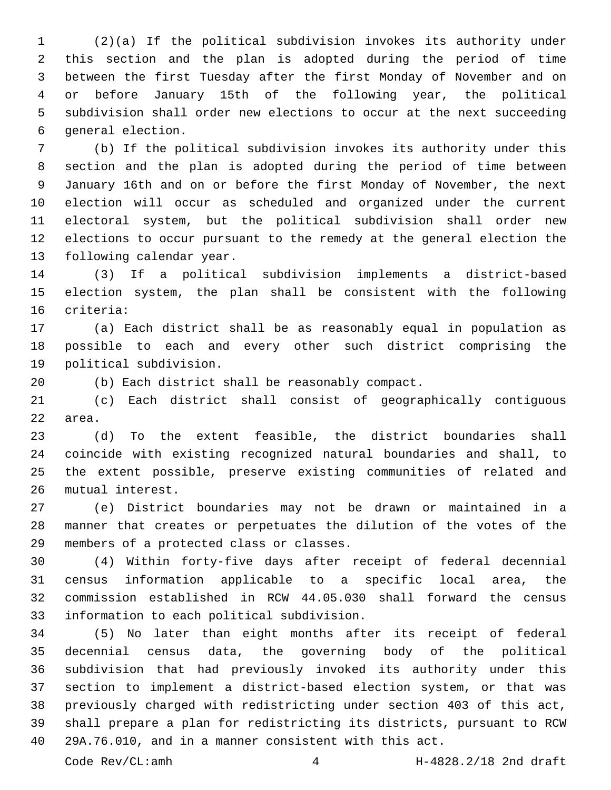(2)(a) If the political subdivision invokes its authority under this section and the plan is adopted during the period of time between the first Tuesday after the first Monday of November and on or before January 15th of the following year, the political subdivision shall order new elections to occur at the next succeeding 6 general election.

 (b) If the political subdivision invokes its authority under this section and the plan is adopted during the period of time between January 16th and on or before the first Monday of November, the next election will occur as scheduled and organized under the current electoral system, but the political subdivision shall order new elections to occur pursuant to the remedy at the general election the 13 following calendar year.

 (3) If a political subdivision implements a district-based election system, the plan shall be consistent with the following 16 criteria:

 (a) Each district shall be as reasonably equal in population as possible to each and every other such district comprising the 19 political subdivision.

(b) Each district shall be reasonably compact.

 (c) Each district shall consist of geographically contiguous 22 area.

 (d) To the extent feasible, the district boundaries shall coincide with existing recognized natural boundaries and shall, to the extent possible, preserve existing communities of related and 26 mutual interest.

 (e) District boundaries may not be drawn or maintained in a manner that creates or perpetuates the dilution of the votes of the 29 members of a protected class or classes.

 (4) Within forty-five days after receipt of federal decennial census information applicable to a specific local area, the commission established in RCW 44.05.030 shall forward the census 33 information to each political subdivision.

 (5) No later than eight months after its receipt of federal decennial census data, the governing body of the political subdivision that had previously invoked its authority under this section to implement a district-based election system, or that was previously charged with redistricting under section 403 of this act, shall prepare a plan for redistricting its districts, pursuant to RCW 29A.76.010, and in a manner consistent with this act.

Code Rev/CL:amh 4 H-4828.2/18 2nd draft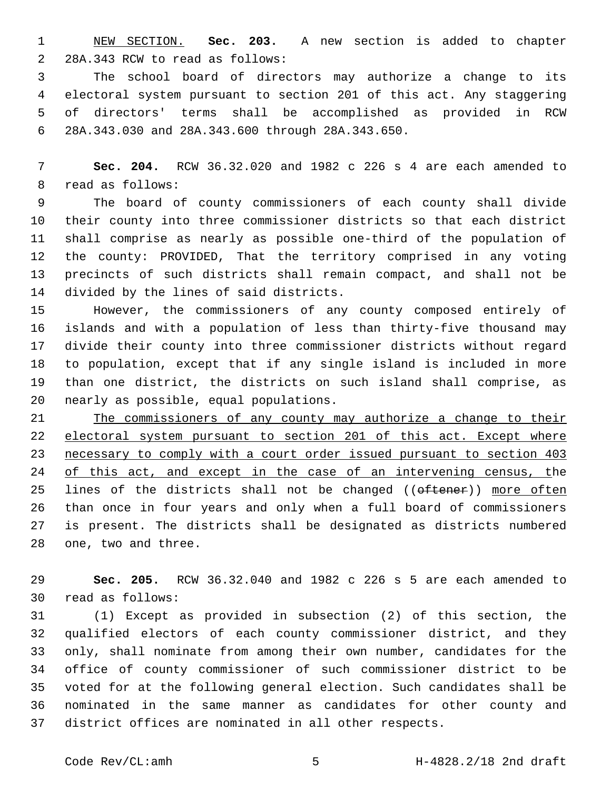NEW SECTION. **Sec. 203.** A new section is added to chapter 2 28A.343 RCW to read as follows:

 The school board of directors may authorize a change to its electoral system pursuant to section 201 of this act. Any staggering of directors' terms shall be accomplished as provided in RCW 28A.343.030 and 28A.343.600 through 28A.343.650.6

 **Sec. 204.** RCW 36.32.020 and 1982 c 226 s 4 are each amended to 8 read as follows:

 The board of county commissioners of each county shall divide their county into three commissioner districts so that each district shall comprise as nearly as possible one-third of the population of the county: PROVIDED, That the territory comprised in any voting precincts of such districts shall remain compact, and shall not be 14 divided by the lines of said districts.

 However, the commissioners of any county composed entirely of islands and with a population of less than thirty-five thousand may divide their county into three commissioner districts without regard to population, except that if any single island is included in more than one district, the districts on such island shall comprise, as 20 nearly as possible, equal populations.

 The commissioners of any county may authorize a change to their 22 electoral system pursuant to section 201 of this act. Except where necessary to comply with a court order issued pursuant to section 403 24 of this act, and except in the case of an intervening census, the 25 lines of the districts shall not be changed ((oftener)) more often than once in four years and only when a full board of commissioners is present. The districts shall be designated as districts numbered 28 one, two and three.

 **Sec. 205.** RCW 36.32.040 and 1982 c 226 s 5 are each amended to read as follows:30

 (1) Except as provided in subsection (2) of this section, the qualified electors of each county commissioner district, and they only, shall nominate from among their own number, candidates for the office of county commissioner of such commissioner district to be voted for at the following general election. Such candidates shall be nominated in the same manner as candidates for other county and district offices are nominated in all other respects.

Code Rev/CL:amh 5 H-4828.2/18 2nd draft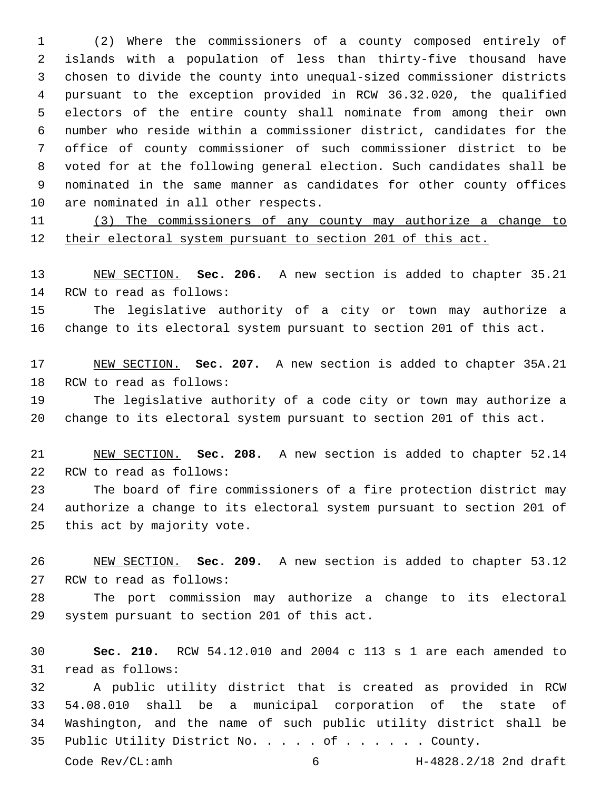(2) Where the commissioners of a county composed entirely of islands with a population of less than thirty-five thousand have chosen to divide the county into unequal-sized commissioner districts pursuant to the exception provided in RCW 36.32.020, the qualified electors of the entire county shall nominate from among their own number who reside within a commissioner district, candidates for the office of county commissioner of such commissioner district to be voted for at the following general election. Such candidates shall be nominated in the same manner as candidates for other county offices 10 are nominated in all other respects.

 (3) The commissioners of any county may authorize a change to their electoral system pursuant to section 201 of this act.

 NEW SECTION. **Sec. 206.** A new section is added to chapter 35.21 14 RCW to read as follows:

 The legislative authority of a city or town may authorize a change to its electoral system pursuant to section 201 of this act.

 NEW SECTION. **Sec. 207.** A new section is added to chapter 35A.21 18 RCW to read as follows:

 The legislative authority of a code city or town may authorize a change to its electoral system pursuant to section 201 of this act.

 NEW SECTION. **Sec. 208.** A new section is added to chapter 52.14 22 RCW to read as follows:

 The board of fire commissioners of a fire protection district may authorize a change to its electoral system pursuant to section 201 of 25 this act by majority vote.

 NEW SECTION. **Sec. 209.** A new section is added to chapter 53.12 27 RCW to read as follows:

 The port commission may authorize a change to its electoral 29 system pursuant to section 201 of this act.

 **Sec. 210.** RCW 54.12.010 and 2004 c 113 s 1 are each amended to 31 read as follows:

 A public utility district that is created as provided in RCW 54.08.010 shall be a municipal corporation of the state of Washington, and the name of such public utility district shall be Public Utility District No. . . . . of . . . . . . County.

Code Rev/CL:amh 6 H-4828.2/18 2nd draft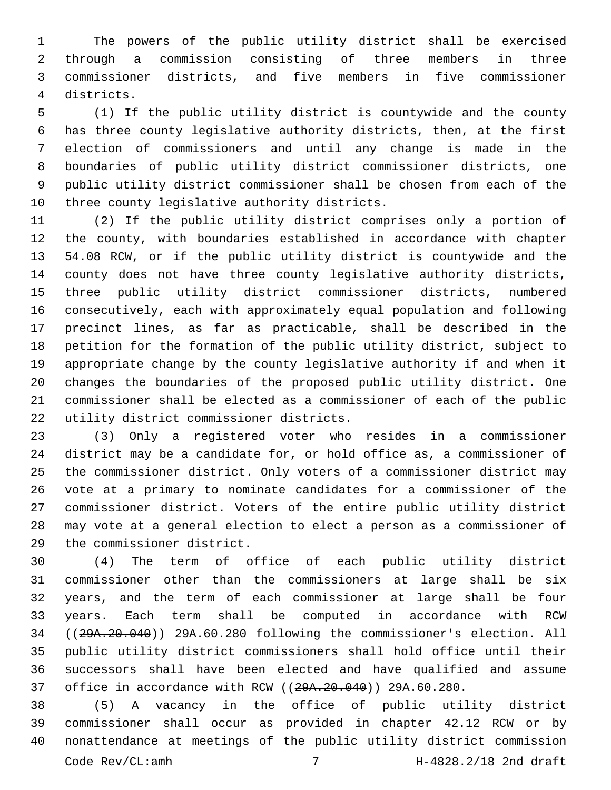The powers of the public utility district shall be exercised through a commission consisting of three members in three commissioner districts, and five members in five commissioner districts.4

 (1) If the public utility district is countywide and the county has three county legislative authority districts, then, at the first election of commissioners and until any change is made in the boundaries of public utility district commissioner districts, one public utility district commissioner shall be chosen from each of the 10 three county legislative authority districts.

 (2) If the public utility district comprises only a portion of the county, with boundaries established in accordance with chapter 54.08 RCW, or if the public utility district is countywide and the county does not have three county legislative authority districts, three public utility district commissioner districts, numbered consecutively, each with approximately equal population and following precinct lines, as far as practicable, shall be described in the petition for the formation of the public utility district, subject to appropriate change by the county legislative authority if and when it changes the boundaries of the proposed public utility district. One commissioner shall be elected as a commissioner of each of the public 22 utility district commissioner districts.

 (3) Only a registered voter who resides in a commissioner district may be a candidate for, or hold office as, a commissioner of the commissioner district. Only voters of a commissioner district may vote at a primary to nominate candidates for a commissioner of the commissioner district. Voters of the entire public utility district may vote at a general election to elect a person as a commissioner of 29 the commissioner district.

 (4) The term of office of each public utility district commissioner other than the commissioners at large shall be six years, and the term of each commissioner at large shall be four years. Each term shall be computed in accordance with RCW ((29A.20.040)) 29A.60.280 following the commissioner's election. All public utility district commissioners shall hold office until their successors shall have been elected and have qualified and assume office in accordance with RCW ((29A.20.040)) 29A.60.280.

 (5) A vacancy in the office of public utility district commissioner shall occur as provided in chapter 42.12 RCW or by nonattendance at meetings of the public utility district commission Code Rev/CL:amh 7 H-4828.2/18 2nd draft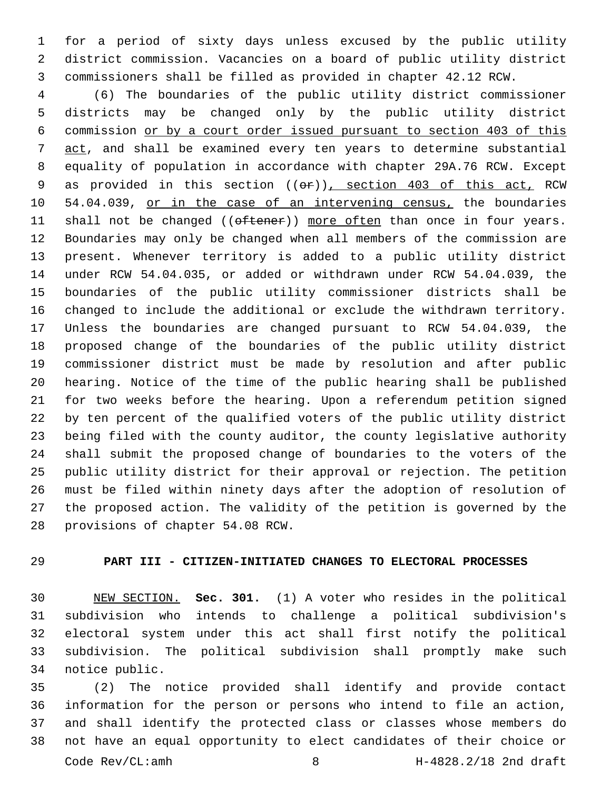for a period of sixty days unless excused by the public utility district commission. Vacancies on a board of public utility district commissioners shall be filled as provided in chapter 42.12 RCW.

 (6) The boundaries of the public utility district commissioner districts may be changed only by the public utility district commission or by a court order issued pursuant to section 403 of this 7 act, and shall be examined every ten years to determine substantial equality of population in accordance with chapter 29A.76 RCW. Except 9 as provided in this section (( $\Theta$ )), section 403 of this act, RCW 10 54.04.039, or in the case of an intervening census, the boundaries 11 shall not be changed ((oftener)) more often than once in four years. Boundaries may only be changed when all members of the commission are present. Whenever territory is added to a public utility district under RCW 54.04.035, or added or withdrawn under RCW 54.04.039, the boundaries of the public utility commissioner districts shall be changed to include the additional or exclude the withdrawn territory. Unless the boundaries are changed pursuant to RCW 54.04.039, the proposed change of the boundaries of the public utility district commissioner district must be made by resolution and after public hearing. Notice of the time of the public hearing shall be published for two weeks before the hearing. Upon a referendum petition signed by ten percent of the qualified voters of the public utility district being filed with the county auditor, the county legislative authority shall submit the proposed change of boundaries to the voters of the public utility district for their approval or rejection. The petition must be filed within ninety days after the adoption of resolution of the proposed action. The validity of the petition is governed by the 28 provisions of chapter 54.08 RCW.

# **PART III - CITIZEN-INITIATED CHANGES TO ELECTORAL PROCESSES**

 NEW SECTION. **Sec. 301.** (1) A voter who resides in the political subdivision who intends to challenge a political subdivision's electoral system under this act shall first notify the political subdivision. The political subdivision shall promptly make such notice public.

 (2) The notice provided shall identify and provide contact information for the person or persons who intend to file an action, and shall identify the protected class or classes whose members do not have an equal opportunity to elect candidates of their choice or Code Rev/CL:amh 8 H-4828.2/18 2nd draft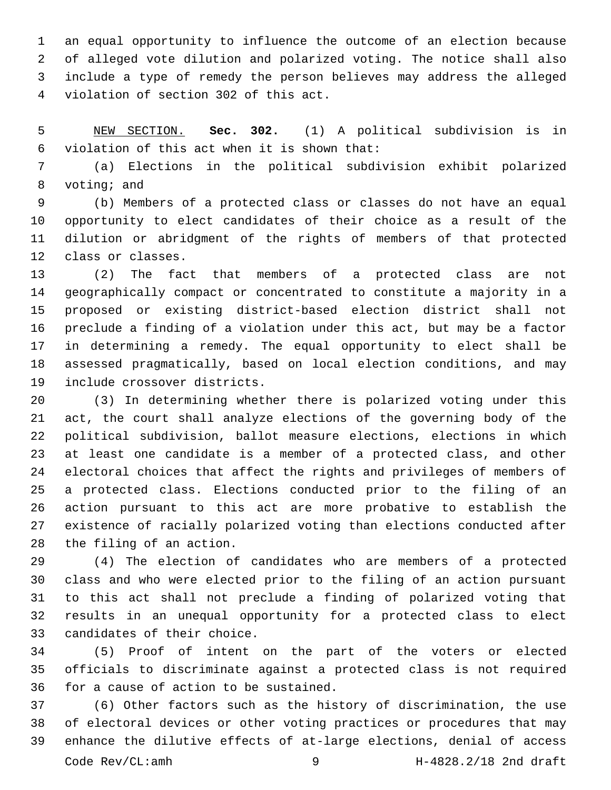an equal opportunity to influence the outcome of an election because of alleged vote dilution and polarized voting. The notice shall also include a type of remedy the person believes may address the alleged violation of section 302 of this act.4

 NEW SECTION. **Sec. 302.** (1) A political subdivision is in violation of this act when it is shown that:

 (a) Elections in the political subdivision exhibit polarized 8 voting; and

 (b) Members of a protected class or classes do not have an equal opportunity to elect candidates of their choice as a result of the dilution or abridgment of the rights of members of that protected 12 class or classes.

 (2) The fact that members of a protected class are not geographically compact or concentrated to constitute a majority in a proposed or existing district-based election district shall not preclude a finding of a violation under this act, but may be a factor in determining a remedy. The equal opportunity to elect shall be assessed pragmatically, based on local election conditions, and may 19 include crossover districts.

 (3) In determining whether there is polarized voting under this act, the court shall analyze elections of the governing body of the political subdivision, ballot measure elections, elections in which at least one candidate is a member of a protected class, and other electoral choices that affect the rights and privileges of members of a protected class. Elections conducted prior to the filing of an action pursuant to this act are more probative to establish the existence of racially polarized voting than elections conducted after 28 the filing of an action.

 (4) The election of candidates who are members of a protected class and who were elected prior to the filing of an action pursuant to this act shall not preclude a finding of polarized voting that results in an unequal opportunity for a protected class to elect 33 candidates of their choice.

 (5) Proof of intent on the part of the voters or elected officials to discriminate against a protected class is not required 36 for a cause of action to be sustained.

 (6) Other factors such as the history of discrimination, the use of electoral devices or other voting practices or procedures that may enhance the dilutive effects of at-large elections, denial of access Code Rev/CL:amh 9 H-4828.2/18 2nd draft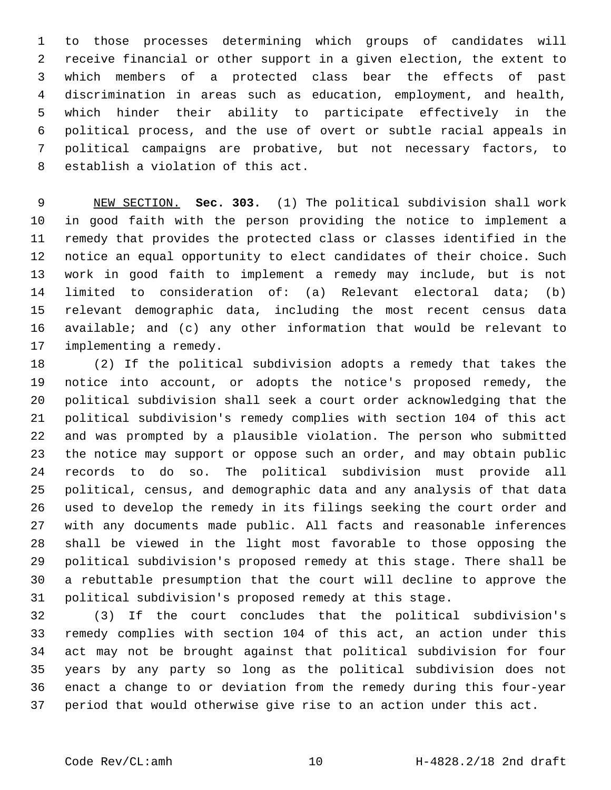to those processes determining which groups of candidates will receive financial or other support in a given election, the extent to which members of a protected class bear the effects of past discrimination in areas such as education, employment, and health, which hinder their ability to participate effectively in the political process, and the use of overt or subtle racial appeals in political campaigns are probative, but not necessary factors, to 8 establish a violation of this act.

 NEW SECTION. **Sec. 303.** (1) The political subdivision shall work in good faith with the person providing the notice to implement a remedy that provides the protected class or classes identified in the notice an equal opportunity to elect candidates of their choice. Such work in good faith to implement a remedy may include, but is not limited to consideration of: (a) Relevant electoral data; (b) relevant demographic data, including the most recent census data available; and (c) any other information that would be relevant to implementing a remedy.

 (2) If the political subdivision adopts a remedy that takes the notice into account, or adopts the notice's proposed remedy, the political subdivision shall seek a court order acknowledging that the political subdivision's remedy complies with section 104 of this act and was prompted by a plausible violation. The person who submitted the notice may support or oppose such an order, and may obtain public records to do so. The political subdivision must provide all political, census, and demographic data and any analysis of that data used to develop the remedy in its filings seeking the court order and with any documents made public. All facts and reasonable inferences shall be viewed in the light most favorable to those opposing the political subdivision's proposed remedy at this stage. There shall be a rebuttable presumption that the court will decline to approve the political subdivision's proposed remedy at this stage.

 (3) If the court concludes that the political subdivision's remedy complies with section 104 of this act, an action under this act may not be brought against that political subdivision for four years by any party so long as the political subdivision does not enact a change to or deviation from the remedy during this four-year period that would otherwise give rise to an action under this act.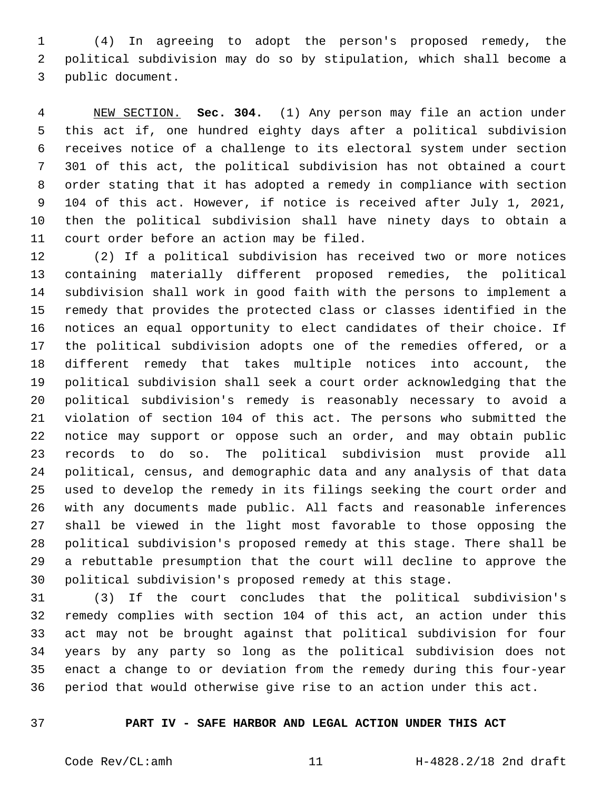(4) In agreeing to adopt the person's proposed remedy, the political subdivision may do so by stipulation, which shall become a 3 public document.

 NEW SECTION. **Sec. 304.** (1) Any person may file an action under this act if, one hundred eighty days after a political subdivision receives notice of a challenge to its electoral system under section 301 of this act, the political subdivision has not obtained a court order stating that it has adopted a remedy in compliance with section 104 of this act. However, if notice is received after July 1, 2021, then the political subdivision shall have ninety days to obtain a court order before an action may be filed.

 (2) If a political subdivision has received two or more notices containing materially different proposed remedies, the political subdivision shall work in good faith with the persons to implement a remedy that provides the protected class or classes identified in the notices an equal opportunity to elect candidates of their choice. If the political subdivision adopts one of the remedies offered, or a different remedy that takes multiple notices into account, the political subdivision shall seek a court order acknowledging that the political subdivision's remedy is reasonably necessary to avoid a violation of section 104 of this act. The persons who submitted the notice may support or oppose such an order, and may obtain public records to do so. The political subdivision must provide all political, census, and demographic data and any analysis of that data used to develop the remedy in its filings seeking the court order and with any documents made public. All facts and reasonable inferences shall be viewed in the light most favorable to those opposing the political subdivision's proposed remedy at this stage. There shall be a rebuttable presumption that the court will decline to approve the political subdivision's proposed remedy at this stage.

 (3) If the court concludes that the political subdivision's remedy complies with section 104 of this act, an action under this act may not be brought against that political subdivision for four years by any party so long as the political subdivision does not enact a change to or deviation from the remedy during this four-year period that would otherwise give rise to an action under this act.

# **PART IV - SAFE HARBOR AND LEGAL ACTION UNDER THIS ACT**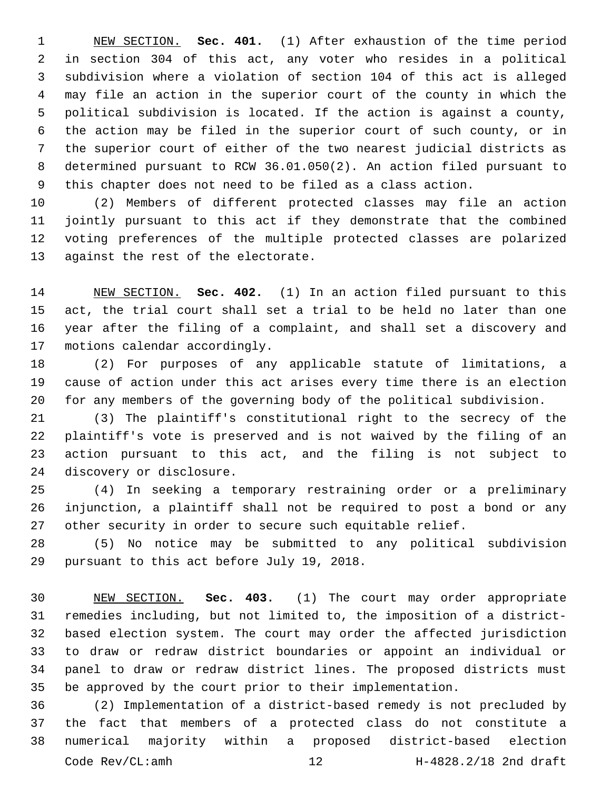NEW SECTION. **Sec. 401.** (1) After exhaustion of the time period in section 304 of this act, any voter who resides in a political subdivision where a violation of section 104 of this act is alleged may file an action in the superior court of the county in which the political subdivision is located. If the action is against a county, the action may be filed in the superior court of such county, or in the superior court of either of the two nearest judicial districts as determined pursuant to RCW 36.01.050(2). An action filed pursuant to this chapter does not need to be filed as a class action.

 (2) Members of different protected classes may file an action jointly pursuant to this act if they demonstrate that the combined voting preferences of the multiple protected classes are polarized 13 against the rest of the electorate.

 NEW SECTION. **Sec. 402.** (1) In an action filed pursuant to this act, the trial court shall set a trial to be held no later than one year after the filing of a complaint, and shall set a discovery and motions calendar accordingly.

 (2) For purposes of any applicable statute of limitations, a cause of action under this act arises every time there is an election for any members of the governing body of the political subdivision.

 (3) The plaintiff's constitutional right to the secrecy of the plaintiff's vote is preserved and is not waived by the filing of an action pursuant to this act, and the filing is not subject to 24 discovery or disclosure.

 (4) In seeking a temporary restraining order or a preliminary injunction, a plaintiff shall not be required to post a bond or any other security in order to secure such equitable relief.

 (5) No notice may be submitted to any political subdivision 29 pursuant to this act before July 19, 2018.

 NEW SECTION. **Sec. 403.** (1) The court may order appropriate remedies including, but not limited to, the imposition of a district- based election system. The court may order the affected jurisdiction to draw or redraw district boundaries or appoint an individual or panel to draw or redraw district lines. The proposed districts must be approved by the court prior to their implementation.

 (2) Implementation of a district-based remedy is not precluded by the fact that members of a protected class do not constitute a numerical majority within a proposed district-based election Code Rev/CL:amh 12 H-4828.2/18 2nd draft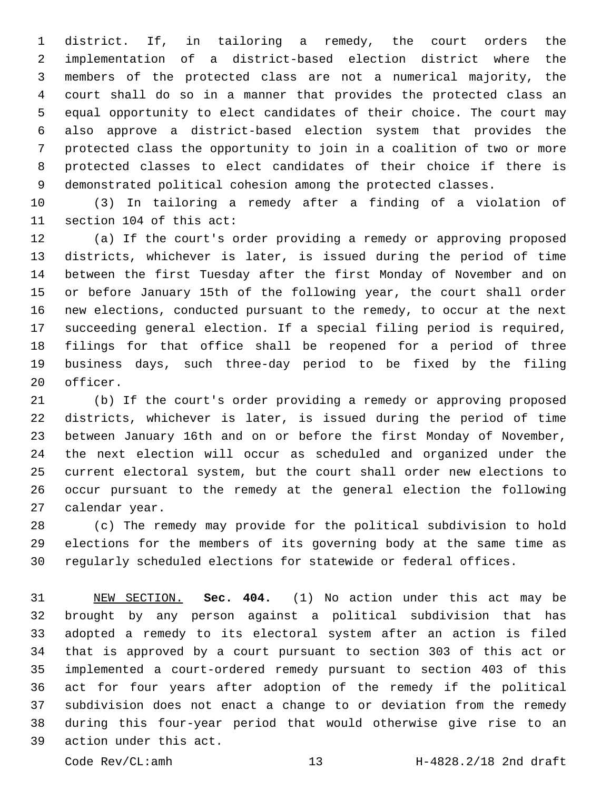district. If, in tailoring a remedy, the court orders the implementation of a district-based election district where the members of the protected class are not a numerical majority, the court shall do so in a manner that provides the protected class an equal opportunity to elect candidates of their choice. The court may also approve a district-based election system that provides the protected class the opportunity to join in a coalition of two or more protected classes to elect candidates of their choice if there is demonstrated political cohesion among the protected classes.

 (3) In tailoring a remedy after a finding of a violation of 11 section 104 of this act:

 (a) If the court's order providing a remedy or approving proposed districts, whichever is later, is issued during the period of time between the first Tuesday after the first Monday of November and on or before January 15th of the following year, the court shall order new elections, conducted pursuant to the remedy, to occur at the next succeeding general election. If a special filing period is required, filings for that office shall be reopened for a period of three business days, such three-day period to be fixed by the filing 20 officer.

 (b) If the court's order providing a remedy or approving proposed districts, whichever is later, is issued during the period of time between January 16th and on or before the first Monday of November, the next election will occur as scheduled and organized under the current electoral system, but the court shall order new elections to occur pursuant to the remedy at the general election the following 27 calendar year.

 (c) The remedy may provide for the political subdivision to hold elections for the members of its governing body at the same time as regularly scheduled elections for statewide or federal offices.

 NEW SECTION. **Sec. 404.** (1) No action under this act may be brought by any person against a political subdivision that has adopted a remedy to its electoral system after an action is filed that is approved by a court pursuant to section 303 of this act or implemented a court-ordered remedy pursuant to section 403 of this act for four years after adoption of the remedy if the political subdivision does not enact a change to or deviation from the remedy during this four-year period that would otherwise give rise to an action under this act.

Code Rev/CL:amh 13 H-4828.2/18 2nd draft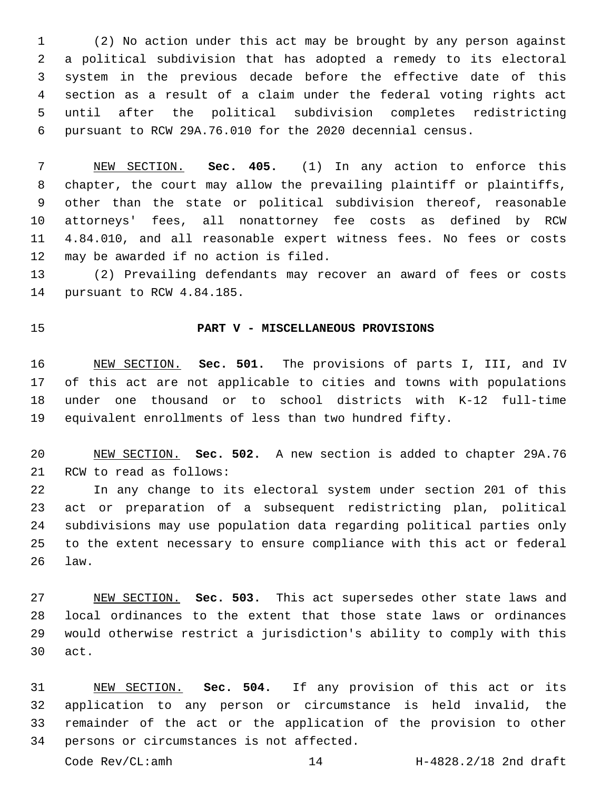(2) No action under this act may be brought by any person against a political subdivision that has adopted a remedy to its electoral system in the previous decade before the effective date of this section as a result of a claim under the federal voting rights act until after the political subdivision completes redistricting pursuant to RCW 29A.76.010 for the 2020 decennial census.

 NEW SECTION. **Sec. 405.** (1) In any action to enforce this 8 chapter, the court may allow the prevailing plaintiff or plaintiffs, other than the state or political subdivision thereof, reasonable attorneys' fees, all nonattorney fee costs as defined by RCW 4.84.010, and all reasonable expert witness fees. No fees or costs may be awarded if no action is filed.

 (2) Prevailing defendants may recover an award of fees or costs 14 pursuant to RCW 4.84.185.

## **PART V - MISCELLANEOUS PROVISIONS**

 NEW SECTION. **Sec. 501.** The provisions of parts I, III, and IV of this act are not applicable to cities and towns with populations under one thousand or to school districts with K-12 full-time equivalent enrollments of less than two hundred fifty.

 NEW SECTION. **Sec. 502.** A new section is added to chapter 29A.76 21 RCW to read as follows:

 In any change to its electoral system under section 201 of this act or preparation of a subsequent redistricting plan, political subdivisions may use population data regarding political parties only to the extent necessary to ensure compliance with this act or federal law.

 NEW SECTION. **Sec. 503.** This act supersedes other state laws and local ordinances to the extent that those state laws or ordinances would otherwise restrict a jurisdiction's ability to comply with this act.

 NEW SECTION. **Sec. 504.** If any provision of this act or its application to any person or circumstance is held invalid, the remainder of the act or the application of the provision to other persons or circumstances is not affected.